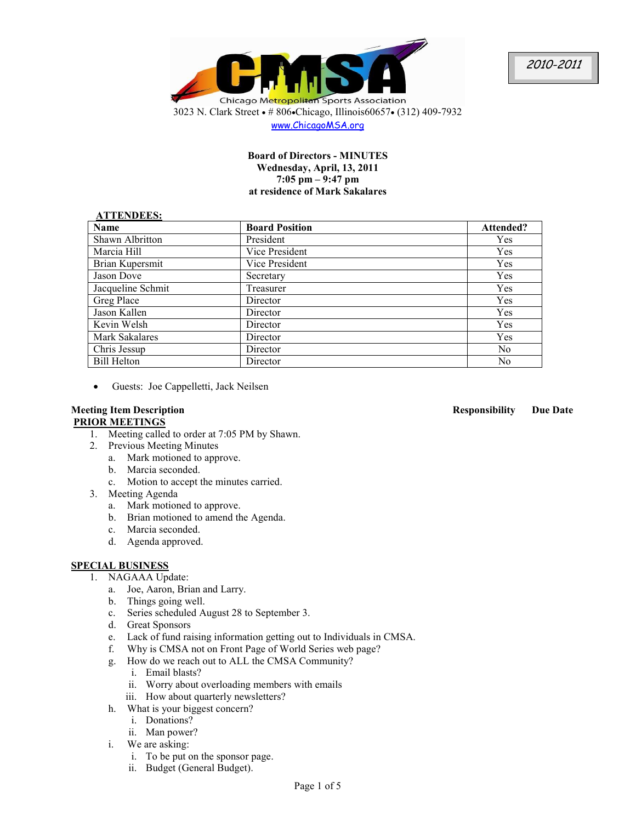

www.ChicagoMSA.org

## **Board of Directors - MINUTES Wednesday, April, 13, 2011 7:05 pm – 9:47 pm at residence of Mark Sakalares**

#### **ATTENDEES:**

| 111111111100          |                       |                |
|-----------------------|-----------------------|----------------|
| <b>Name</b>           | <b>Board Position</b> | Attended?      |
| Shawn Albritton       | President             | Yes            |
| Marcia Hill           | Vice President        | <b>Yes</b>     |
| Brian Kupersmit       | Vice President        | Yes            |
| Jason Dove            | Secretary             | Yes            |
| Jacqueline Schmit     | Treasurer             | Yes            |
| Greg Place            | Director              | Yes            |
| Jason Kallen          | Director              | Yes            |
| Kevin Welsh           | Director              | Yes            |
| <b>Mark Sakalares</b> | Director              | Yes            |
| Chris Jessup          | Director              | N <sub>0</sub> |
| <b>Bill Helton</b>    | Director              | N <sub>0</sub> |

• Guests: Joe Cappelletti, Jack Neilsen

# **PRIOR MEETINGS**

- 1. Meeting called to order at 7:05 PM by Shawn.
- 2. Previous Meeting Minutes
	- a. Mark motioned to approve.
	- b. Marcia seconded.
	- c. Motion to accept the minutes carried.
- 3. Meeting Agenda
	- a. Mark motioned to approve.
	- b. Brian motioned to amend the Agenda.
	- c. Marcia seconded.
	- d. Agenda approved.

## **SPECIAL BUSINESS**

- 1. NAGAAA Update:
	- a. Joe, Aaron, Brian and Larry.
	- b. Things going well.
	- c. Series scheduled August 28 to September 3.
	- d. Great Sponsors
	- e. Lack of fund raising information getting out to Individuals in CMSA.
	- f. Why is CMSA not on Front Page of World Series web page?
	- g. How do we reach out to ALL the CMSA Community?
		- i. Email blasts?
		- ii. Worry about overloading members with emails
		- iii. How about quarterly newsletters?
	- h. What is your biggest concern?
		- i. Donations?
		- ii. Man power?
	- i. We are asking:
		- i. To be put on the sponsor page.
		- ii. Budget (General Budget).

## **Meeting Item Description Responsibility Due Date**

Page 1 of 5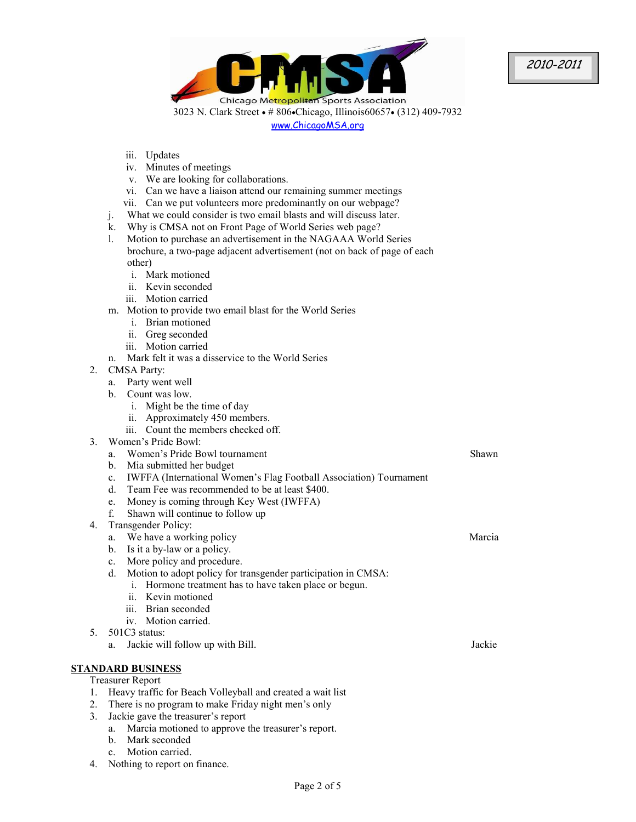2010-2011

Chicago Metropolitan Sports Association 3023 N. Clark Street • # 806•Chicago, Illinois60657• (312) 409-7932 www.ChicagoMSA.org

- iii. Updates
- iv. Minutes of meetings
- v. We are looking for collaborations.
- vi. Can we have a liaison attend our remaining summer meetings
- vii. Can we put volunteers more predominantly on our webpage?
- j. What we could consider is two email blasts and will discuss later.
- k. Why is CMSA not on Front Page of World Series web page?
- l. Motion to purchase an advertisement in the NAGAAA World Series brochure, a two-page adjacent advertisement (not on back of page of each other)
	- i. Mark motioned
	- ii. Kevin seconded
	- iii. Motion carried
- m. Motion to provide two email blast for the World Series
	- i. Brian motioned
	- ii. Greg seconded
	- iii. Motion carried
- n. Mark felt it was a disservice to the World Series
- 2. CMSA Party:
	- a. Party went well
	- b. Count was low.
		- i. Might be the time of day
		- ii. Approximately 450 members.
		- iii. Count the members checked off.
- 3. Women's Pride Bowl:
	- a. Women's Pride Bowl tournament
	- b. Mia submitted her budget
	- c. IWFFA (International Women's Flag Football Association) Tournament
	- d. Team Fee was recommended to be at least \$400.
	- e. Money is coming through Key West (IWFFA)
	- f. Shawn will continue to follow up
- 4. Transgender Policy:
	- a. We have a working policy
		- b. Is it a by-law or a policy.
		- c. More policy and procedure.
		- d. Motion to adopt policy for transgender participation in CMSA:
			- i. Hormone treatment has to have taken place or begun.
			- ii. Kevin motioned
			- iii. Brian seconded
			- iv. Motion carried.
- 5. 501C3 status:
	- a. Jackie will follow up with Bill. Jackie Jackie Jackie Jackie Jackie Jackie Jackie Jackie Jackie Jackie Jackie

## **STANDARD BUSINESS**

## Treasurer Report

- 1. Heavy traffic for Beach Volleyball and created a wait list
- 2. There is no program to make Friday night men's only
- 3. Jackie gave the treasurer's report
	- a. Marcia motioned to approve the treasurer's report.
		- b. Mark seconded
		- c. Motion carried.
- 4. Nothing to report on finance.

#### Shawn

Marcia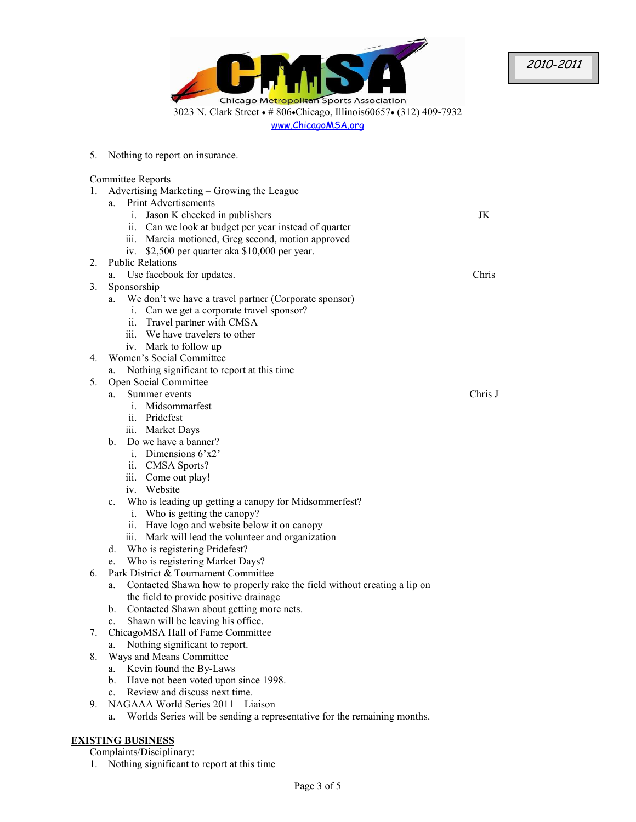

2010-2011

5. Nothing to report on insurance. Committee Reports 1. Advertising Marketing – Growing the League a. Print Advertisements i. Jason K checked in publishers ii. Can we look at budget per year instead of quarter iii. Marcia motioned, Greg second, motion approved iv. \$2,500 per quarter aka \$10,000 per year. JK 2. Public Relations a. Use facebook for updates. Chris 3. Sponsorship a. We don't we have a travel partner (Corporate sponsor) i. Can we get a corporate travel sponsor? ii. Travel partner with CMSA iii. We have travelers to other iv. Mark to follow up 4. Women's Social Committee a. Nothing significant to report at this time 5. Open Social Committee a. Summer events i. Midsommarfest ii. Pridefest iii. Market Days b. Do we have a banner? i. Dimensions 6'x2' ii. CMSA Sports? iii. Come out play! iv. Website c. Who is leading up getting a canopy for Midsommerfest? i. Who is getting the canopy? ii. Have logo and website below it on canopy iii. Mark will lead the volunteer and organization d. Who is registering Pridefest? e. Who is registering Market Days? Chris J 6. Park District & Tournament Committee a. Contacted Shawn how to properly rake the field without creating a lip on the field to provide positive drainage b. Contacted Shawn about getting more nets. c. Shawn will be leaving his office. 7. ChicagoMSA Hall of Fame Committee a. Nothing significant to report. 8. Ways and Means Committee a. Kevin found the By-Laws b. Have not been voted upon since 1998. c. Review and discuss next time. 9. NAGAAA World Series 2011 – Liaison a. Worlds Series will be sending a representative for the remaining months.

## **EXISTING BUSINESS**

Complaints/Disciplinary:

1. Nothing significant to report at this time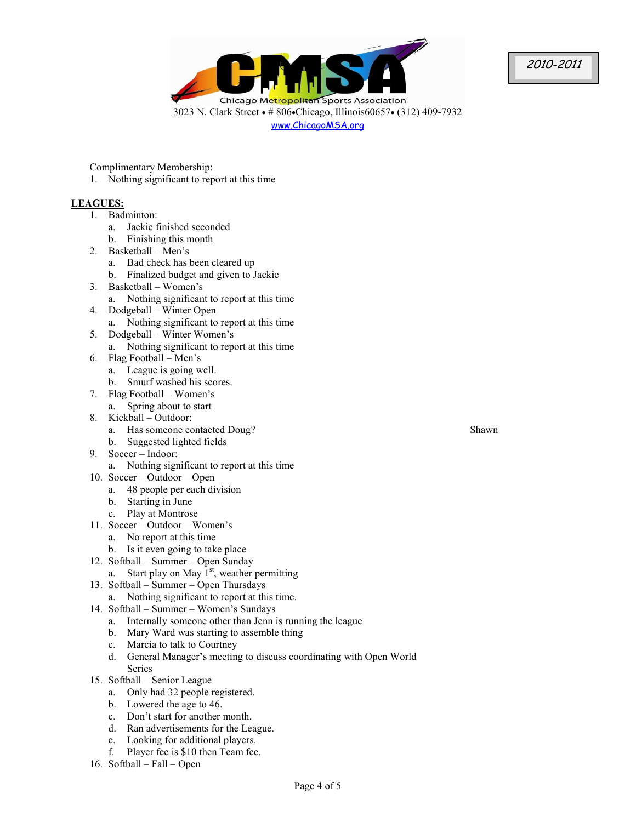2010-2011

Chicago Metropolitan Sports Association 3023 N. Clark Street • # 806•Chicago, Illinois60657• (312) 409-7932 www.ChicagoMSA.org

Complimentary Membership:

1. Nothing significant to report at this time

## **LEAGUES:**

- 1. Badminton:
	- a. Jackie finished seconded
	- b. Finishing this month
- 2. Basketball Men's
	- a. Bad check has been cleared up
	- b. Finalized budget and given to Jackie
- 3. Basketball Women's
	- a. Nothing significant to report at this time
- 4. Dodgeball Winter Open
	- a. Nothing significant to report at this time
- 5. Dodgeball Winter Women's
	- a. Nothing significant to report at this time
- 6. Flag Football Men's
	- a. League is going well.
	- b. Smurf washed his scores.
- 7. Flag Football Women's
- a. Spring about to start
- 8. Kickball Outdoor:
	- a. Has someone contacted Doug?
	- b. Suggested lighted fields
- 9. Soccer Indoor:
	- a. Nothing significant to report at this time
- 10. Soccer Outdoor Open
	- a. 48 people per each division
	- b. Starting in June
	- c. Play at Montrose
- 11. Soccer Outdoor Women's
	- a. No report at this time
	- b. Is it even going to take place
- 12. Softball Summer Open Sunday
	- a. Start play on May  $1<sup>st</sup>$ , weather permitting
- 13. Softball Summer Open Thursdays
	- a. Nothing significant to report at this time.
- 14. Softball Summer Women's Sundays
	- a. Internally someone other than Jenn is running the league
	- b. Mary Ward was starting to assemble thing
	- c. Marcia to talk to Courtney
	- d. General Manager's meeting to discuss coordinating with Open World Series
- 15. Softball Senior League
	- a. Only had 32 people registered.
	- b. Lowered the age to 46.
	- c. Don't start for another month.
	- d. Ran advertisements for the League.
	- e. Looking for additional players.
	- f. Player fee is \$10 then Team fee.
- 16. Softball Fall Open

Shawn